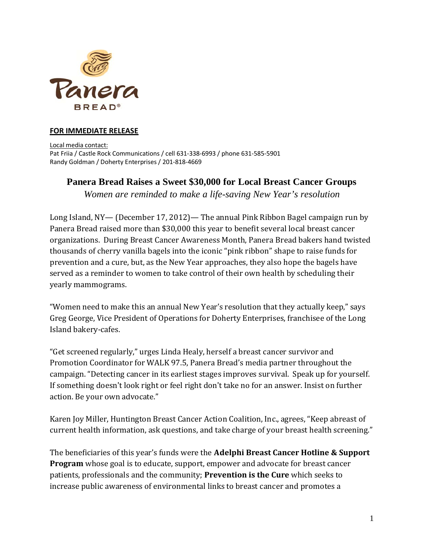

## **FOR IMMEDIATE RELEASE**

Local media contact: Pat Friia / Castle Rock Communications / cell 631-338-6993 / phone 631-585-5901 Randy Goldman / Doherty Enterprises / 201-818-4669

## **Panera Bread Raises a Sweet \$30,000 for Local Breast Cancer Groups**

*Women are reminded to make a life-saving New Year's resolution* 

Long Island, NY— (December 17, 2012)— The annual Pink Ribbon Bagel campaign run by Panera Bread raised more than \$30,000 this year to benefit several local breast cancer organizations. During Breast Cancer Awareness Month, Panera Bread bakers hand twisted thousands of cherry vanilla bagels into the iconic "pink ribbon" shape to raise funds for prevention and a cure, but, as the New Year approaches, they also hope the bagels have served as a reminder to women to take control of their own health by scheduling their yearly mammograms.

"Women need to make this an annual New Year's resolution that they actually keep," says Greg George, Vice President of Operations for Doherty Enterprises, franchisee of the Long Island bakery-cafes.

"Get screened regularly," urges Linda Healy, herself a breast cancer survivor and Promotion Coordinator for WALK 97.5, Panera Bread's media partner throughout the campaign. "Detecting cancer in its earliest stages improves survival. Speak up for yourself. If something doesn't look right or feel right don't take no for an answer. Insist on further action. Be your own advocate."

Karen Joy Miller, Huntington Breast Cancer Action Coalition, Inc., agrees, "Keep abreast of current health information, ask questions, and take charge of your breast health screening."

The beneficiaries of this year's funds were the **Adelphi Breast Cancer Hotline & Support Program** whose goal is to educate, support, empower and advocate for breast cancer patients, professionals and the community; **Prevention is the Cure** which seeks to increase public awareness of environmental links to breast cancer and promotes a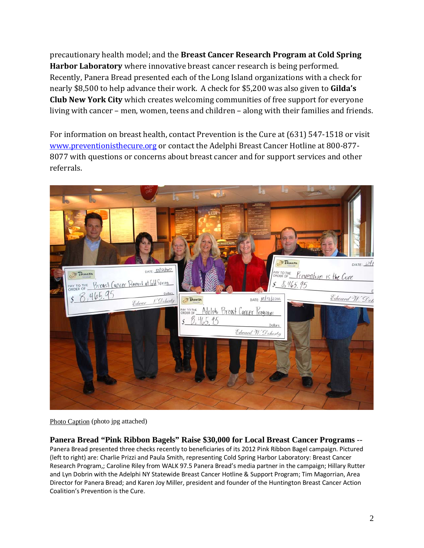precautionary health model; and the **Breast Cancer Research Program at Cold Spring Harbor Laboratory** where innovative breast cancer research is being performed. Recently, Panera Bread presented each of the Long Island organizations with a check for nearly \$8,500 to help advance their work. A check for \$5,200 was also given to **Gilda's Club New York City** which creates welcoming communities of free support for everyone living with cancer – men, women, teens and children – along with their families and friends.

For information on breast health, contact Prevention is the Cure at (631) 547-1518 or visit [www.preventionisthecure.org or contact the Adelphi Breast Cancer Hotline at 800-877-](http://www.preventionisthecure.org/) 8077 with questions or concerns about breast cancer and for support services and other referrals.



Photo Caption (photo jpg attached)

**Panera Bread "Pink Ribbon Bagels" Raise \$30,000 for Local Breast Cancer Programs** -- Panera Bread presented three checks recently to beneficiaries of its 2012 Pink Ribbon Bagel campaign. Pictured (left to right) are: Charlie Prizzi and Paula Smith, representing Cold Spring Harbor Laboratory: Breast Cancer Research Program,; Caroline Riley from WALK 97.5 Panera Bread's media partner in the campaign; Hillary Rutter and Lyn Dobrin with the Adelphi NY Statewide Breast Cancer Hotline & Support Program; Tim Magorrian, Area Director for Panera Bread; and Karen Joy Miller, president and founder of the Huntington Breast Cancer Action Coalition's Prevention is the Cure.